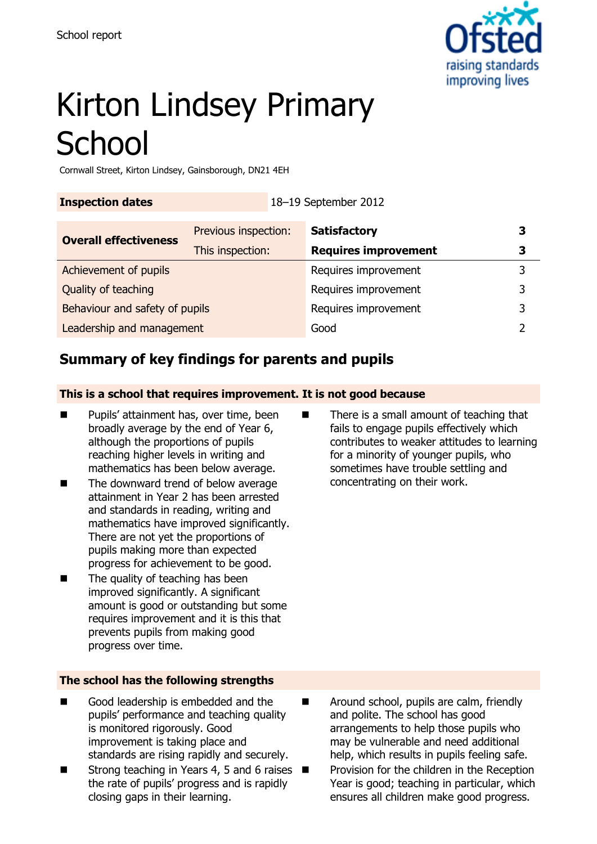

# Kirton Lindsey Primary **School**

Cornwall Street, Kirton Lindsey, Gainsborough, DN21 4EH

**Inspection dates** 18–19 September 2012

| <b>Overall effectiveness</b>   | Previous inspection: | <b>Satisfactory</b>         | З |
|--------------------------------|----------------------|-----------------------------|---|
|                                | This inspection:     | <b>Requires improvement</b> |   |
| Achievement of pupils          |                      | Requires improvement        |   |
| Quality of teaching            |                      | Requires improvement        | 3 |
| Behaviour and safety of pupils |                      | Requires improvement        | 3 |
| Leadership and management      |                      | Good                        |   |

## **Summary of key findings for parents and pupils**

#### **This is a school that requires improvement. It is not good because**

- Pupils' attainment has, over time, been broadly average by the end of Year 6, although the proportions of pupils reaching higher levels in writing and mathematics has been below average.
- The downward trend of below average attainment in Year 2 has been arrested and standards in reading, writing and mathematics have improved significantly. There are not yet the proportions of pupils making more than expected progress for achievement to be good.
- The quality of teaching has been improved significantly. A significant amount is good or outstanding but some requires improvement and it is this that prevents pupils from making good progress over time.

#### **The school has the following strengths**

- Good leadership is embedded and the pupils' performance and teaching quality is monitored rigorously. Good improvement is taking place and standards are rising rapidly and securely.
- Strong teaching in Years 4, 5 and 6 raises  $\blacksquare$ the rate of pupils' progress and is rapidly closing gaps in their learning.

■ There is a small amount of teaching that fails to engage pupils effectively which contributes to weaker attitudes to learning for a minority of younger pupils, who sometimes have trouble settling and concentrating on their work.

- Around school, pupils are calm, friendly and polite. The school has good arrangements to help those pupils who may be vulnerable and need additional help, which results in pupils feeling safe.
	- Provision for the children in the Reception Year is good; teaching in particular, which ensures all children make good progress.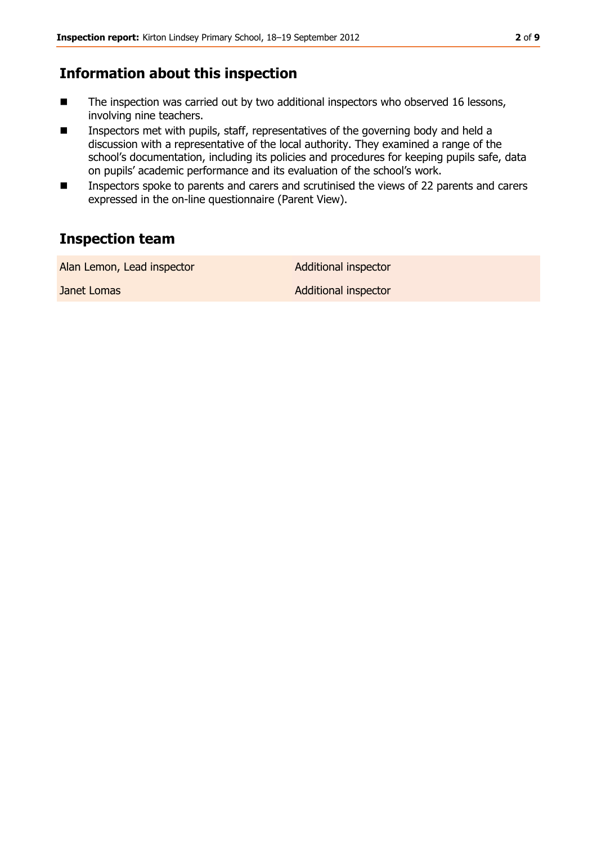#### **Information about this inspection**

- The inspection was carried out by two additional inspectors who observed 16 lessons, involving nine teachers.
- Inspectors met with pupils, staff, representatives of the governing body and held a discussion with a representative of the local authority. They examined a range of the school's documentation, including its policies and procedures for keeping pupils safe, data on pupils' academic performance and its evaluation of the school's work.
- Imspectors spoke to parents and carers and scrutinised the views of 22 parents and carers expressed in the on-line questionnaire (Parent View).

## **Inspection team**

Alan Lemon, Lead inspector **Additional inspector** 

Janet Lomas **Additional inspector** Additional inspector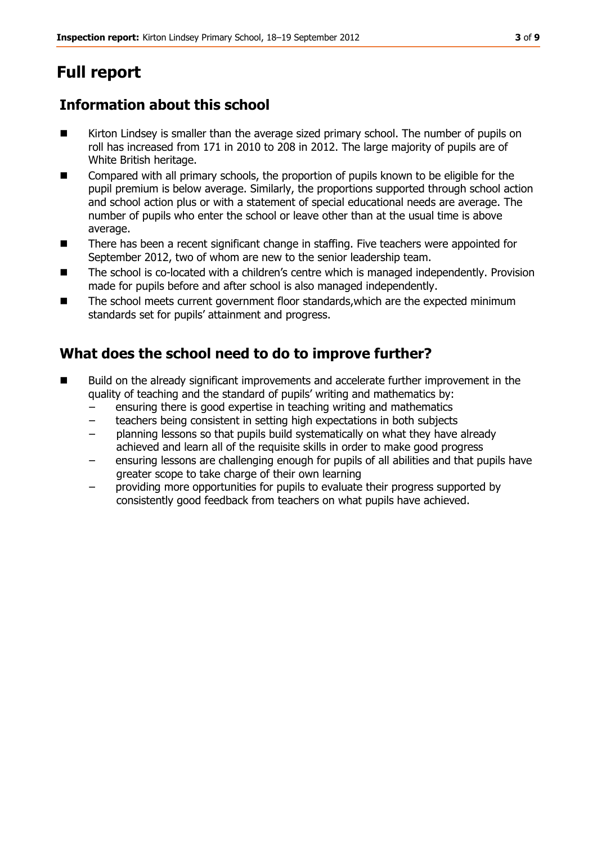## **Full report**

## **Information about this school**

- Kirton Lindsey is smaller than the average sized primary school. The number of pupils on roll has increased from 171 in 2010 to 208 in 2012. The large majority of pupils are of White British heritage.
- **EXCOMPATED 10** Compared with all primary schools, the proportion of pupils known to be eligible for the pupil premium is below average. Similarly, the proportions supported through school action and school action plus or with a statement of special educational needs are average. The number of pupils who enter the school or leave other than at the usual time is above average.
- There has been a recent significant change in staffing. Five teachers were appointed for September 2012, two of whom are new to the senior leadership team.
- The school is co-located with a children's centre which is managed independently. Provision made for pupils before and after school is also managed independently.
- The school meets current government floor standards,which are the expected minimum standards set for pupils' attainment and progress.

## **What does the school need to do to improve further?**

- Build on the already significant improvements and accelerate further improvement in the quality of teaching and the standard of pupils' writing and mathematics by:
	- ensuring there is good expertise in teaching writing and mathematics
	- teachers being consistent in setting high expectations in both subjects
	- planning lessons so that pupils build systematically on what they have already achieved and learn all of the requisite skills in order to make good progress
	- ensuring lessons are challenging enough for pupils of all abilities and that pupils have greater scope to take charge of their own learning
	- providing more opportunities for pupils to evaluate their progress supported by consistently good feedback from teachers on what pupils have achieved.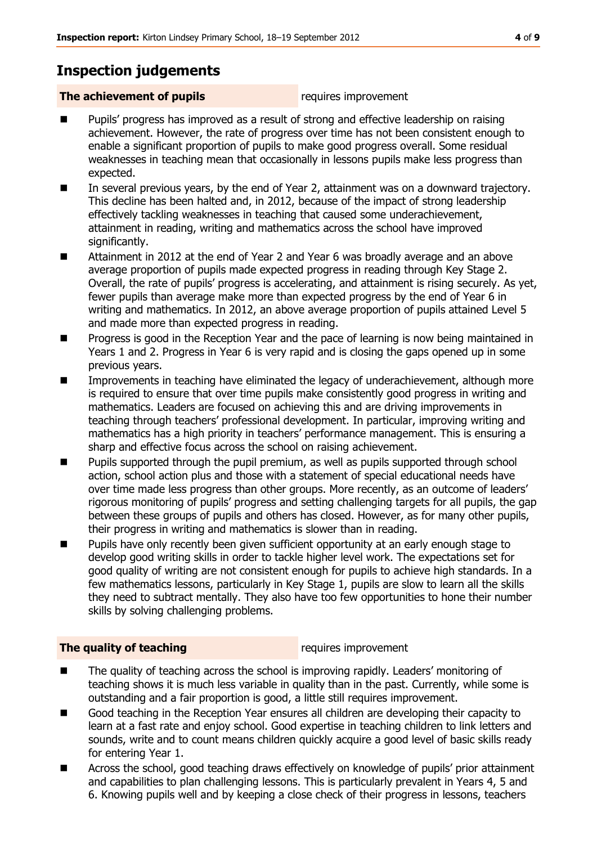## **Inspection judgements**

#### **The achievement of pupils requires improvement**

- Pupils' progress has improved as a result of strong and effective leadership on raising achievement. However, the rate of progress over time has not been consistent enough to enable a significant proportion of pupils to make good progress overall. Some residual weaknesses in teaching mean that occasionally in lessons pupils make less progress than expected.
- In several previous years, by the end of Year 2, attainment was on a downward trajectory. This decline has been halted and, in 2012, because of the impact of strong leadership effectively tackling weaknesses in teaching that caused some underachievement, attainment in reading, writing and mathematics across the school have improved significantly.
- Attainment in 2012 at the end of Year 2 and Year 6 was broadly average and an above average proportion of pupils made expected progress in reading through Key Stage 2. Overall, the rate of pupils' progress is accelerating, and attainment is rising securely. As yet, fewer pupils than average make more than expected progress by the end of Year 6 in writing and mathematics. In 2012, an above average proportion of pupils attained Level 5 and made more than expected progress in reading.
- **Progress is good in the Reception Year and the pace of learning is now being maintained in** Years 1 and 2. Progress in Year 6 is very rapid and is closing the gaps opened up in some previous years.
- Improvements in teaching have eliminated the legacy of underachievement, although more is required to ensure that over time pupils make consistently good progress in writing and mathematics. Leaders are focused on achieving this and are driving improvements in teaching through teachers' professional development. In particular, improving writing and mathematics has a high priority in teachers' performance management. This is ensuring a sharp and effective focus across the school on raising achievement.
- **Pupils supported through the pupil premium, as well as pupils supported through school** action, school action plus and those with a statement of special educational needs have over time made less progress than other groups. More recently, as an outcome of leaders' rigorous monitoring of pupils' progress and setting challenging targets for all pupils, the gap between these groups of pupils and others has closed. However, as for many other pupils, their progress in writing and mathematics is slower than in reading.
- **Pupils have only recently been given sufficient opportunity at an early enough stage to** develop good writing skills in order to tackle higher level work. The expectations set for good quality of writing are not consistent enough for pupils to achieve high standards. In a few mathematics lessons, particularly in Key Stage 1, pupils are slow to learn all the skills they need to subtract mentally. They also have too few opportunities to hone their number skills by solving challenging problems.

#### **The quality of teaching requires improvement**

- The quality of teaching across the school is improving rapidly. Leaders' monitoring of teaching shows it is much less variable in quality than in the past. Currently, while some is outstanding and a fair proportion is good, a little still requires improvement.
- Good teaching in the Reception Year ensures all children are developing their capacity to learn at a fast rate and enjoy school. Good expertise in teaching children to link letters and sounds, write and to count means children quickly acquire a good level of basic skills ready for entering Year 1.
- Across the school, good teaching draws effectively on knowledge of pupils' prior attainment and capabilities to plan challenging lessons. This is particularly prevalent in Years 4, 5 and 6. Knowing pupils well and by keeping a close check of their progress in lessons, teachers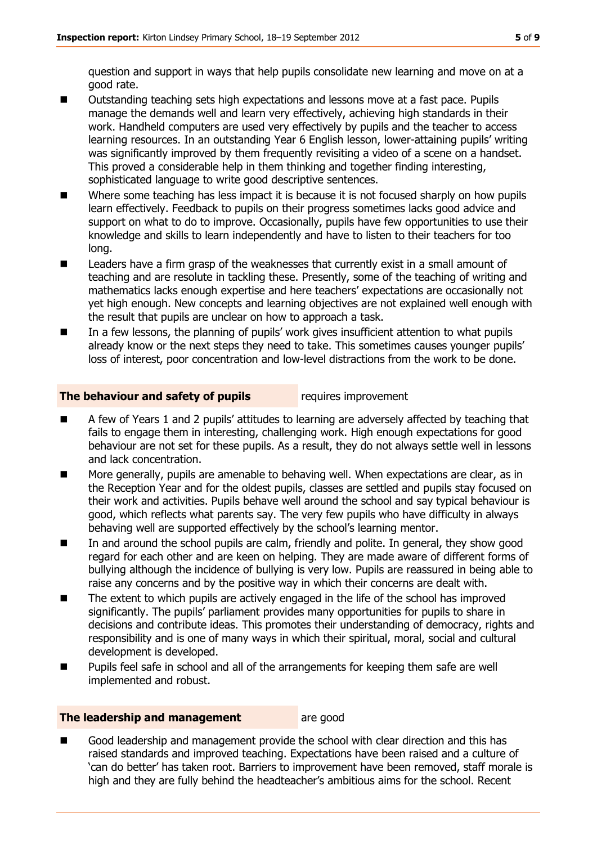question and support in ways that help pupils consolidate new learning and move on at a good rate.

- Outstanding teaching sets high expectations and lessons move at a fast pace. Pupils manage the demands well and learn very effectively, achieving high standards in their work. Handheld computers are used very effectively by pupils and the teacher to access learning resources. In an outstanding Year 6 English lesson, lower-attaining pupils' writing was significantly improved by them frequently revisiting a video of a scene on a handset. This proved a considerable help in them thinking and together finding interesting, sophisticated language to write good descriptive sentences.
- Where some teaching has less impact it is because it is not focused sharply on how pupils learn effectively. Feedback to pupils on their progress sometimes lacks good advice and support on what to do to improve. Occasionally, pupils have few opportunities to use their knowledge and skills to learn independently and have to listen to their teachers for too long.
- **EXEC** Leaders have a firm grasp of the weaknesses that currently exist in a small amount of teaching and are resolute in tackling these. Presently, some of the teaching of writing and mathematics lacks enough expertise and here teachers' expectations are occasionally not yet high enough. New concepts and learning objectives are not explained well enough with the result that pupils are unclear on how to approach a task.
- In a few lessons, the planning of pupils' work gives insufficient attention to what pupils already know or the next steps they need to take. This sometimes causes younger pupils' loss of interest, poor concentration and low-level distractions from the work to be done.

#### **The behaviour and safety of pupils** requires improvement

- A few of Years 1 and 2 pupils' attitudes to learning are adversely affected by teaching that fails to engage them in interesting, challenging work. High enough expectations for good behaviour are not set for these pupils. As a result, they do not always settle well in lessons and lack concentration.
- More generally, pupils are amenable to behaving well. When expectations are clear, as in the Reception Year and for the oldest pupils, classes are settled and pupils stay focused on their work and activities. Pupils behave well around the school and say typical behaviour is good, which reflects what parents say. The very few pupils who have difficulty in always behaving well are supported effectively by the school's learning mentor.
- In and around the school pupils are calm, friendly and polite. In general, they show good regard for each other and are keen on helping. They are made aware of different forms of bullying although the incidence of bullying is very low. Pupils are reassured in being able to raise any concerns and by the positive way in which their concerns are dealt with.
- The extent to which pupils are actively engaged in the life of the school has improved significantly. The pupils' parliament provides many opportunities for pupils to share in decisions and contribute ideas. This promotes their understanding of democracy, rights and responsibility and is one of many ways in which their spiritual, moral, social and cultural development is developed.
- Pupils feel safe in school and all of the arrangements for keeping them safe are well implemented and robust.

#### **The leadership and management** are good

 Good leadership and management provide the school with clear direction and this has raised standards and improved teaching. Expectations have been raised and a culture of 'can do better' has taken root. Barriers to improvement have been removed, staff morale is high and they are fully behind the headteacher's ambitious aims for the school. Recent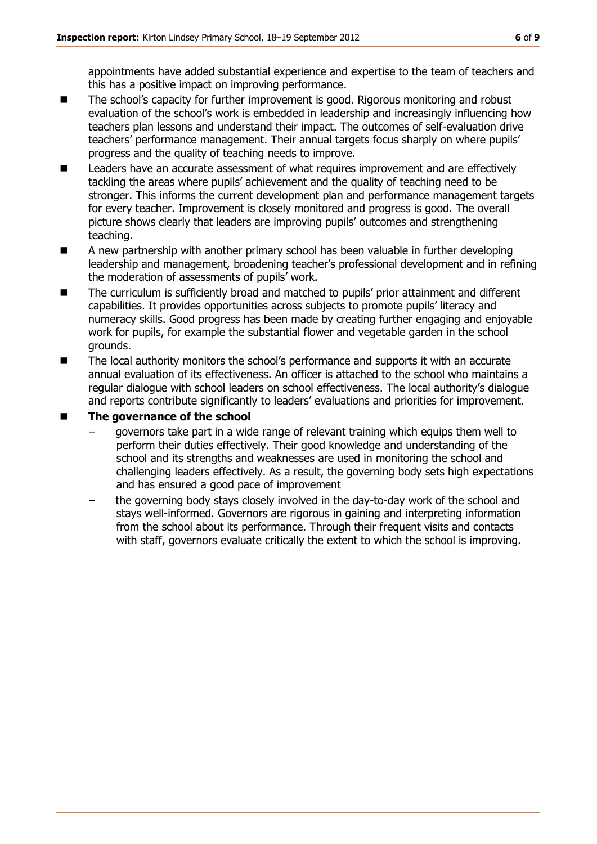appointments have added substantial experience and expertise to the team of teachers and this has a positive impact on improving performance.

- The school's capacity for further improvement is good. Rigorous monitoring and robust evaluation of the school's work is embedded in leadership and increasingly influencing how teachers plan lessons and understand their impact. The outcomes of self-evaluation drive teachers' performance management. Their annual targets focus sharply on where pupils' progress and the quality of teaching needs to improve.
- Leaders have an accurate assessment of what requires improvement and are effectively tackling the areas where pupils' achievement and the quality of teaching need to be stronger. This informs the current development plan and performance management targets for every teacher. Improvement is closely monitored and progress is good. The overall picture shows clearly that leaders are improving pupils' outcomes and strengthening teaching.
- A new partnership with another primary school has been valuable in further developing leadership and management, broadening teacher's professional development and in refining the moderation of assessments of pupils' work.
- The curriculum is sufficiently broad and matched to pupils' prior attainment and different capabilities. It provides opportunities across subjects to promote pupils' literacy and numeracy skills. Good progress has been made by creating further engaging and enjoyable work for pupils, for example the substantial flower and vegetable garden in the school grounds.
- The local authority monitors the school's performance and supports it with an accurate annual evaluation of its effectiveness. An officer is attached to the school who maintains a regular dialogue with school leaders on school effectiveness. The local authority's dialogue and reports contribute significantly to leaders' evaluations and priorities for improvement.

#### **The governance of the school**

- governors take part in a wide range of relevant training which equips them well to perform their duties effectively. Their good knowledge and understanding of the school and its strengths and weaknesses are used in monitoring the school and challenging leaders effectively. As a result, the governing body sets high expectations and has ensured a good pace of improvement
- the governing body stays closely involved in the day-to-day work of the school and stays well-informed. Governors are rigorous in gaining and interpreting information from the school about its performance. Through their frequent visits and contacts with staff, governors evaluate critically the extent to which the school is improving.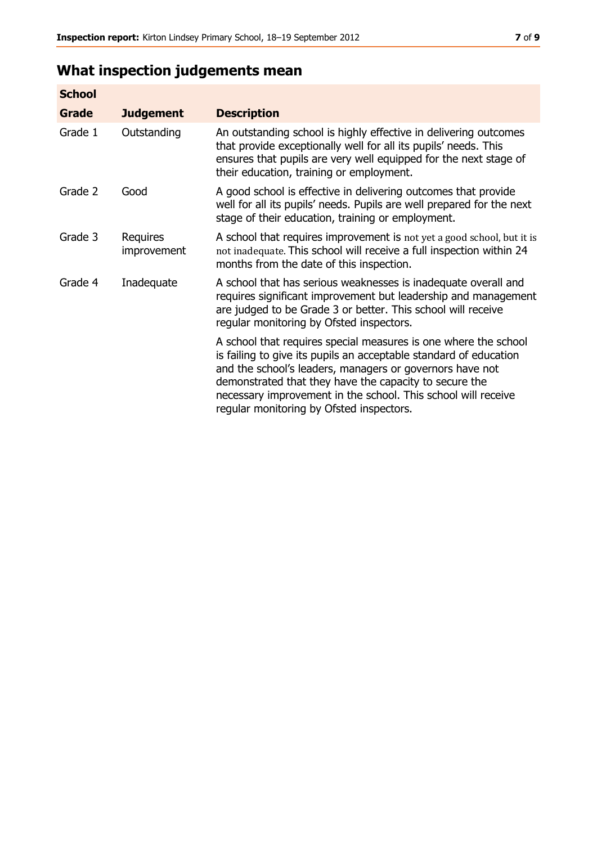## **What inspection judgements mean**

| <b>School</b> |                         |                                                                                                                                                                                                                                                                                                                                                                         |
|---------------|-------------------------|-------------------------------------------------------------------------------------------------------------------------------------------------------------------------------------------------------------------------------------------------------------------------------------------------------------------------------------------------------------------------|
| <b>Grade</b>  | <b>Judgement</b>        | <b>Description</b>                                                                                                                                                                                                                                                                                                                                                      |
| Grade 1       | Outstanding             | An outstanding school is highly effective in delivering outcomes<br>that provide exceptionally well for all its pupils' needs. This<br>ensures that pupils are very well equipped for the next stage of<br>their education, training or employment.                                                                                                                     |
| Grade 2       | Good                    | A good school is effective in delivering outcomes that provide<br>well for all its pupils' needs. Pupils are well prepared for the next<br>stage of their education, training or employment.                                                                                                                                                                            |
| Grade 3       | Requires<br>improvement | A school that requires improvement is not yet a good school, but it is<br>not inadequate. This school will receive a full inspection within 24<br>months from the date of this inspection.                                                                                                                                                                              |
| Grade 4       | Inadequate              | A school that has serious weaknesses is inadequate overall and<br>requires significant improvement but leadership and management<br>are judged to be Grade 3 or better. This school will receive<br>regular monitoring by Ofsted inspectors.                                                                                                                            |
|               |                         | A school that requires special measures is one where the school<br>is failing to give its pupils an acceptable standard of education<br>and the school's leaders, managers or governors have not<br>demonstrated that they have the capacity to secure the<br>necessary improvement in the school. This school will receive<br>regular monitoring by Ofsted inspectors. |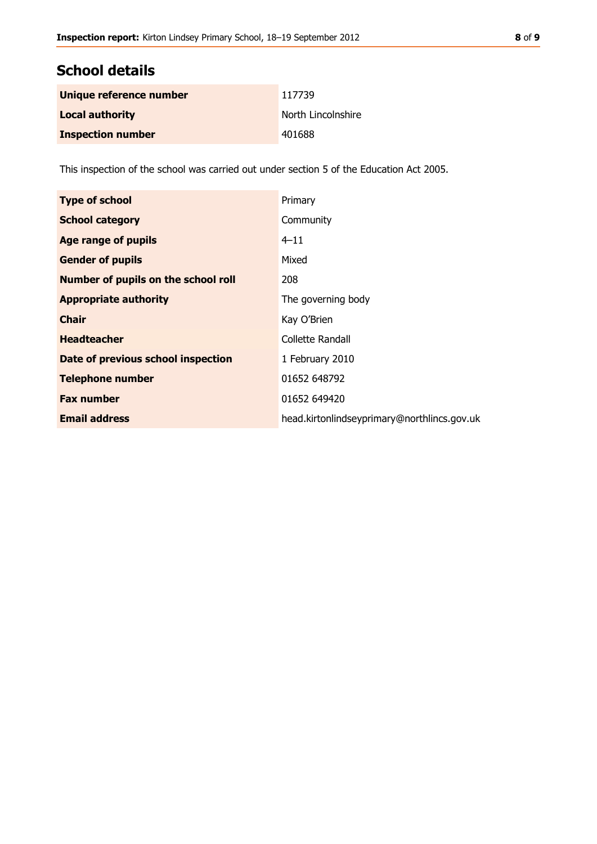## **School details**

| Unique reference number  | 117739             |
|--------------------------|--------------------|
| <b>Local authority</b>   | North Lincolnshire |
| <b>Inspection number</b> | 401688             |

This inspection of the school was carried out under section 5 of the Education Act 2005.

| <b>Type of school</b>                      | Primary                                     |
|--------------------------------------------|---------------------------------------------|
| <b>School category</b>                     | Community                                   |
| <b>Age range of pupils</b>                 | $4 - 11$                                    |
| <b>Gender of pupils</b>                    | Mixed                                       |
| <b>Number of pupils on the school roll</b> | 208                                         |
| <b>Appropriate authority</b>               | The governing body                          |
| <b>Chair</b>                               | Kay O'Brien                                 |
| <b>Headteacher</b>                         | Collette Randall                            |
| Date of previous school inspection         | 1 February 2010                             |
| <b>Telephone number</b>                    | 01652 648792                                |
| <b>Fax number</b>                          | 01652 649420                                |
| <b>Email address</b>                       | head.kirtonlindseyprimary@northlincs.gov.uk |